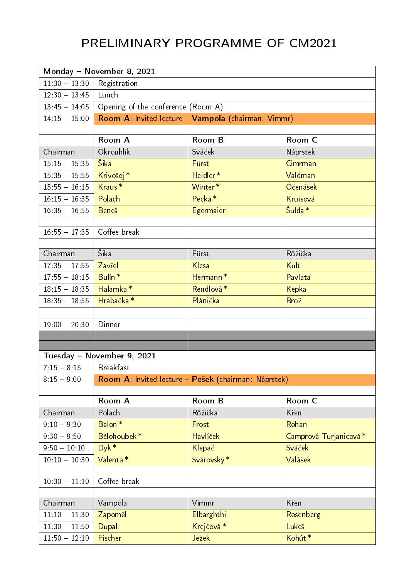## PRELIMINARY PROGRAMME OF CM2021

| Monday - November 8, 2021 |                                                     |                                                      |                       |  |  |
|---------------------------|-----------------------------------------------------|------------------------------------------------------|-----------------------|--|--|
| $11.30 - 13.30$           | Registration                                        |                                                      |                       |  |  |
| $12.30 - 13.45$           | Lunch                                               |                                                      |                       |  |  |
| $13.45 - 14.05$           | Opening of the conference (Room A)                  |                                                      |                       |  |  |
| $14.15 - 15.00$           | Room A: Invited lecture - Vampola (chairman: Vimmr) |                                                      |                       |  |  |
|                           |                                                     |                                                      |                       |  |  |
|                           | Room A                                              | Room B                                               | Room C                |  |  |
| Chairman                  | Okrouhlík                                           | Sváček                                               | Náprstek              |  |  |
| $15:15 - 15:35$           | Šika                                                | Fürst                                                | Cimrman               |  |  |
| $15:35 - 15:55$           | Krivošej <sup>*</sup>                               | Heidler <sup>*</sup>                                 | Valdman               |  |  |
| $15.55 - 16.15$           | Kraus*                                              | Winter*                                              | <b>Očenášek</b>       |  |  |
| $16 \t15 - 16 \t35$       | Polach                                              | Pecka <sup>*</sup>                                   | Kruisová              |  |  |
| $16.35 - 16.55$           | <b>Benes</b>                                        | Egermaier                                            | Šulda <sup>*</sup>    |  |  |
|                           |                                                     |                                                      |                       |  |  |
| $16.55 - 17.35$           | Coffee break                                        |                                                      |                       |  |  |
|                           |                                                     |                                                      |                       |  |  |
| Chairman                  | Šika                                                | Fürst                                                | Růžička               |  |  |
| $17.35 - 17.55$           | Zavřel                                              | Klesa                                                | Kult                  |  |  |
| $17.55 - 18.15$           | Bulín <sup>*</sup>                                  | Hermann <sup>*</sup>                                 | Pavlata               |  |  |
| $18:15 - 18:35$           | Halamka*                                            | Rendlová*                                            | Kepka                 |  |  |
| $18.35 - 18.55$           | Hrabačka*                                           | Plánička                                             | Brož                  |  |  |
|                           |                                                     |                                                      |                       |  |  |
| $19.00 - 20.30$           | Dinner                                              |                                                      |                       |  |  |
|                           |                                                     |                                                      |                       |  |  |
|                           | Tuesday - November 9, 2021                          |                                                      |                       |  |  |
| $7.15 - 8.15$             | <b>Breakfast</b>                                    |                                                      |                       |  |  |
| $8:15 - 9:00$             |                                                     |                                                      |                       |  |  |
|                           |                                                     | Room A: Invited lecture - Pešek (chairman: Náprstek) |                       |  |  |
|                           | Room A                                              | Room B                                               | Room C                |  |  |
| Chairman                  | Polach                                              | Růžička                                              | Křen                  |  |  |
| $9:10 - 9:30$             | Balon <sup>*</sup>                                  | Frost                                                | Rohan                 |  |  |
| $9:30 - 9:50$             | Bělohoubek*                                         | <b>Havlíček</b>                                      | Camprová Turjanicová* |  |  |
| $9:50 - 10:10$            | $Dyk *$                                             | Klepač                                               | Sváček                |  |  |
| $10:10 - 10:30$           | Valenta*                                            | Svárovský*                                           | Valášek               |  |  |
|                           |                                                     |                                                      |                       |  |  |
| $10.30 - 11.10$           | Coffee break                                        |                                                      |                       |  |  |
|                           |                                                     |                                                      |                       |  |  |
| Chairman                  | Vampola                                             | Vimmr                                                | Křen                  |  |  |
| $11:10 - 11:30$           | Zapoměl                                             | <b>Elbarghthi</b>                                    | Rosenberg             |  |  |
| $11.30 - 11.50$           | Dupal                                               | Krejčová <sup>*</sup>                                | Lukeš                 |  |  |
| $11.50 - 12.10$           | Fischer                                             | <b>Ježek</b>                                         | Kohút*                |  |  |